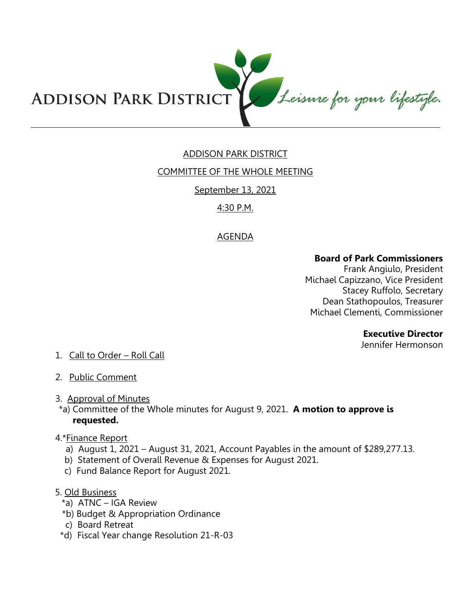

## ADDISON PARK DISTRICT

## COMMITTEE OF THE WHOLE MEETING

## September 13, 2021

## 4:30 P.M.

## AGENDA

#### **Board of Park Commissioners**

Frank Angiulo, President Michael Capizzano, Vice President Stacey Ruffolo, Secretary Dean Stathopoulos, Treasurer Michael Clementi, Commissioner

#### **Executive Director**

Jennifer Hermonson

# 1. Call to Order – Roll Call

2. Public Comment

#### 3. Approval of Minutes

\*a) Committee of the Whole minutes for August 9, 2021. **A motion to approve is requested.** 

#### 4.\*Finance Report

- a) August 1, 2021 August 31, 2021, Account Payables in the amount of \$289,277.13.
- b) Statement of Overall Revenue & Expenses for August 2021.
- c) Fund Balance Report for August 2021.

## 5. Old Business

- \*a) ATNC IGA Review
- \*b) Budget & Appropriation Ordinance
- c) Board Retreat
- \*d) Fiscal Year change Resolution 21-R-03